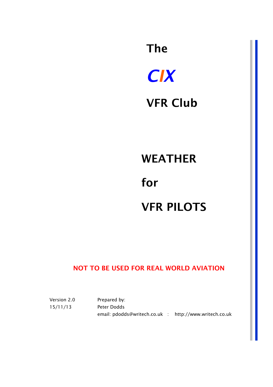# *CIX*  VFR Club

The

### WEATHER

## for VFR PILOTS

#### NOT TO BE USED FOR REAL WORLD AVIATION

Version 2.0 15/11/13 Prepared by: Peter Dodds email: pdodds@writech.co.uk : http://www.writech.co.uk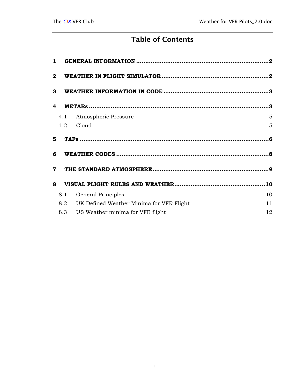#### Table of Contents

| $\mathbf{1}$ |     |                                          |    |
|--------------|-----|------------------------------------------|----|
| $\mathbf{2}$ |     |                                          |    |
| 3            |     |                                          |    |
| 4            |     |                                          |    |
|              | 4.1 | Atmospheric Pressure                     | 5  |
|              | 4.2 | Cloud                                    | 5  |
| 5.           |     |                                          |    |
| 6            |     |                                          |    |
| $\mathbf 7$  |     |                                          |    |
| 8            |     |                                          |    |
|              | 8.1 | General Principles                       | 10 |
|              | 8.2 | UK Defined Weather Minima for VFR Flight | 11 |
|              | 8.3 | US Weather minima for VFR flight         | 12 |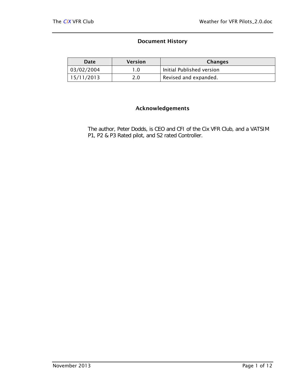#### Document History

| Date       | <b>Version</b> | Changes                   |
|------------|----------------|---------------------------|
| 03/02/2004 |                | Initial Published version |
| 15/11/2013 | 2.0            | Revised and expanded.     |

#### Acknowledgements

The author, Peter Dodds, is CEO and CFI of the Cix VFR Club, and a VATSIM P1, P2 & P3 Rated pilot, and S2 rated Controller.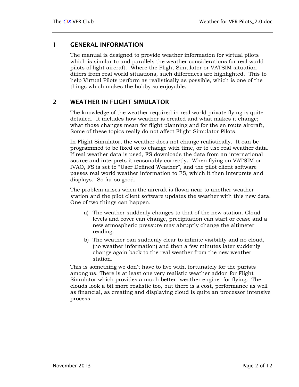#### <span id="page-3-0"></span>1 GENERAL INFORMATION

The manual is designed to provide weather information for virtual pilots which is similar to and parallels the weather considerations for real world pilots of light aircraft. Where the Flight Simulator or VATSIM situation differs from real world situations, such differences are highlighted. This to help Virtual Pilots perform as realistically as possible, which is one of the things which makes the hobby so enjoyable.

#### 2 WEATHER IN FLIGHT SIMULATOR

The knowledge of the weather required in real world private flying is quite detailed. It includes how weather is created and what makes it change; what those changes mean for flight planning and for the en route aircraft, Some of these topics really do not affect Flight Simulator Pilots.

In Flight Simulator, the weather does not change realistically. It can be programmed to be fixed or to change with time, or to use real weather data. If real weather data is used, FS downloads the data from an international source and interprets it reasonably correctly. When flying on VATSIM or IVAO, FS is set to "User Defined Weather", and the pilot client software passes real world weather information to FS, which it then interprets and displays. So far so good.

The problem arises when the aircraft is flown near to another weather station and the pilot client software updates the weather with this new data. One of two things can happen.

- a) The weather suddenly changes to that of the new station. Cloud levels and cover can change, precipitation can start or cease and a new atmospheric pressure may abruptly change the altimeter reading.
- b) The weather can suddenly clear to infinite visibility and no cloud, (no weather information) and then a few minutes later suddenly change again back to the real weather from the new weather station.

This is something we don't have to live with, fortunately for the purists among us. There is at least one very realistic weather addon for Flight Simulator which provides a much better "weather engine" for flying. The clouds look a bit more realistic too, but there is a cost, performance as well as financial, as creating and displaying cloud is quite an processor intensive process.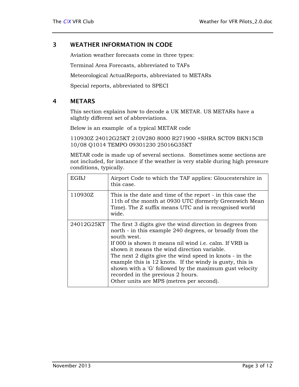#### <span id="page-4-0"></span>3 WEATHER INFORMATION IN CODE

Aviation weather forecasts come in three types:

Terminal Area Forecasts, abbreviated to TAFs

Meteorological ActualReports, abbreviated to METARs

Special reports, abbreviated to SPECI

#### 4 METARS

This section explains how to decode a UK METAR. US METARs have a slightly different set of abbreviations.

Below is an example of a typical METAR code

110930Z 24012G25KT 210V280 8000 R271900 +SHRA SCT09 BKN15CB 10/08 Q1014 TEMPO 09301230 25016G35KT

METAR code is made up of several sections. Sometimes some sections are not included, for instance if the weather is very stable during high pressure conditions, typically.

| EGBJ       | Airport Code to which the TAF applies: Gloucestershire in<br>this case.                                                                                                                                                                                                                                                                                                                                                                                                                                          |
|------------|------------------------------------------------------------------------------------------------------------------------------------------------------------------------------------------------------------------------------------------------------------------------------------------------------------------------------------------------------------------------------------------------------------------------------------------------------------------------------------------------------------------|
| 110930Z    | This is the date and time of the report - in this case the<br>11th of the month at 0930 UTC (formerly Greenwich Mean<br>Time). The Z suffix means UTC and is recognised world<br>wide.                                                                                                                                                                                                                                                                                                                           |
| 24012G25KT | The first 3 digits give the wind direction in degrees from<br>north - in this example 240 degrees, or broadly from the<br>south west.<br>If 000 is shown it means nil wind i.e. calm. If VRB is<br>shown it means the wind direction variable.<br>The next 2 digits give the wind speed in knots - in the<br>example this is 12 knots. If the windy is gusty, this is<br>shown with a 'G' followed by the maximum gust velocity<br>recorded in the previous 2 hours.<br>Other units are MPS (metres per second). |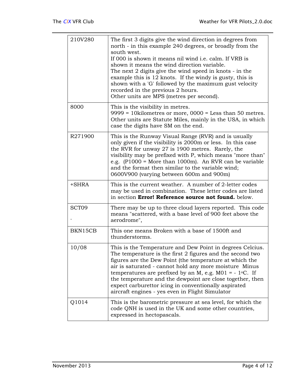| 210V280             | The first 3 digits give the wind direction in degrees from<br>north - in this example 240 degrees, or broadly from the<br>south west.<br>If 000 is shown it means nil wind i.e. calm. If VRB is<br>shown it means the wind direction variable.<br>The next 2 digits give the wind speed in knots - in the<br>example this is 12 knots. If the windy is gusty, this is<br>shown with a 'G' followed by the maximum gust velocity<br>recorded in the previous 2 hours.<br>Other units are MPS (metres per second). |
|---------------------|------------------------------------------------------------------------------------------------------------------------------------------------------------------------------------------------------------------------------------------------------------------------------------------------------------------------------------------------------------------------------------------------------------------------------------------------------------------------------------------------------------------|
| 8000                | This is the visibility in metres.<br>$9999 = 10$ kilometres or more, $0000 =$ Less than 50 metres.<br>Other units are Statute Miles, mainly in the USA, in which<br>case the digits have SM on the end.                                                                                                                                                                                                                                                                                                          |
| R <sub>271900</sub> | This is the Runway Visual Range (RVR) and is usually<br>only given if the visibility is 2000m or less. In this case<br>the RVR for unway 27 is 1900 metres. Rarely, the<br>visibility may be prefixed with P, which means "more than"<br>e.g. $(P1000 = More than 1000m)$ . An RVR can be variable<br>and the format then similar to the variable wind;<br>0600V900 (varying between 600m and 900m)                                                                                                              |
| +SHRA               | This is the current weather. A number of 2-letter codes<br>may be used in combination. These letter codes are listed<br>in section Error! Reference source not found. below.                                                                                                                                                                                                                                                                                                                                     |
| SCT <sub>09</sub>   | There may be up to three cloud layers reported. This code<br>means "scattered, with a base level of 900 feet above the<br>aerodrome",                                                                                                                                                                                                                                                                                                                                                                            |
| BKN15CB             | This one means Broken with a base of 1500ft and<br>thunderstorms.                                                                                                                                                                                                                                                                                                                                                                                                                                                |
| 10/08               | This is the Temperature and Dew Point in degrees Celcius.<br>The temperature is the first 2 figures and the second two<br>figures are the Dew Point (the temperature at which the<br>air is saturated - cannot hold any more moisture Minus<br>temperatures are prefixed by an M, e.g. $MO1 = -1$ °C. If<br>the temperature and the dewpoint are close together, then<br>expect carburettor icing in conventionally aspirated<br>aircraft engines - yes even in Flight Simulator                                 |
| Q1014               | This is the barometric pressure at sea level, for which the<br>code QNH is used in the UK and some other countries,<br>expressed in hectopascals.                                                                                                                                                                                                                                                                                                                                                                |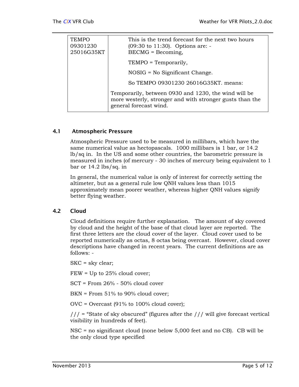<span id="page-6-0"></span>

| <b>TEMPO</b><br>09301230<br>25016G35KT | This is the trend forecast for the next two hours<br>$(09:30 \text{ to } 11:30)$ . Options are: -<br>$BECMG = Becoming,$                   |
|----------------------------------------|--------------------------------------------------------------------------------------------------------------------------------------------|
|                                        | TEMPO = Temporarily,                                                                                                                       |
|                                        | $NOSIG = No$ Significant Change.                                                                                                           |
|                                        | So TEMPO 09301230 26016G35KT. means:                                                                                                       |
|                                        | Temporarily, between 0930 and 1230, the wind will be<br>more westerly, stronger and with stronger gusts than the<br>general forecast wind. |

#### 4.1 Atmospheric Pressure

Atmospheric Pressure used to be measured in millibars, which have the same numerical value as hectopascals. 1000 millibars is 1 bar, or 14.2 lb/sq in. In the US and some other countries, the barometric pressure is measured in inches (of mercury - 30 inches of mercury being equivalent to 1 bar or 14.2 lbs/sq. in

In general, the numerical value is only of interest for correctly setting the altimeter, but as a general rule low QNH values less than 1015 approximately mean poorer weather, whereas higher QNH values signify better flying weather.

#### 4.2 Cloud

Cloud definitions require further explanation. The amount of sky covered by cloud and the height of the base of that cloud layer are reported. The first three letters are the cloud cover of the layer. Cloud cover used to be reported numerically as octas, 8 octas being overcast. However, cloud cover descriptions have changed in recent years. The current definitions are as follows: -

SKC = sky clear;

FEW = Up to 25% cloud cover;

SCT = From 26% - 50% cloud cover

BKN = From 51% to 90% cloud cover;

OVC = Overcast (91% to 100% cloud cover);

 $//$  = "State of sky obscured" (figures after the  $//$  will give forecast vertical visibility in hundreds of feet).

NSC = no significant cloud (none below 5,000 feet and no CB). CB will be the only cloud type specified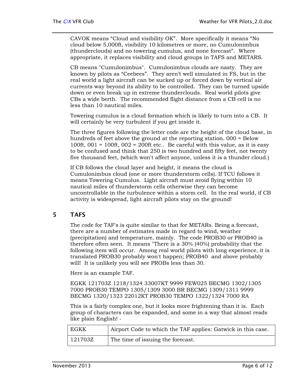<span id="page-7-0"></span>CAVOK means "Cloud and visibility OK". More specifically it means "No cloud below 5,000ft, visibility 10 kilometres or more, no Cumulonimbus (thunderclouds) and no towering cumulus, and none forecast". Where appropriate, it replaces visibility and cloud groups in TAFS and METARS.

CB means "Cumulonimbus". Cumulonimbus clouds are nasty. They are known by pilots as "Ceebees". They aren't well simulated in FS, but in the real world a light aircraft can be sucked up or forced down by vertical air currents way beyond its ability to be controlled. They can be turned upside down or even break up in extreme thunderclouds. Real world pilots give CBs a wide berth. The recommended flight distance from a CB cell is no less than 10 nautical miles.

Towering cumulus is a cloud formation which is likely to turn into a CB. It will certainly be very turbulent if you get inside it.

The three figures following the letter code are the height of the cloud base, in hundreds of feet above the ground at the reporting station. 000 = Below 100ft,  $001 = 100$ ft,  $002 = 200$ ft etc.. Be careful with this value, as it is easy to be confused and think that 250 is two hundred and fifty feet, not twenty five thousand feet, (which won't affect anyone, unless it is a thunder cloud.)

If CB follows the cloud layer and height, it means the cloud is Cumulonimbus cloud (one or more thunderstorm cells). If TCU follows it means Towering Cumulus. Light aircraft must avoid flying within 10 nautical miles of thunderstorm cells otherwise they can become uncontrollable in the turbulence within a storm cell. In the real world, if CB activity is widespread, light aircraft pilots stay on the ground!

#### 5 TAFS

The code for TAF's is quite similar to that for METARs. Being a forecast, there are a number of estimates made in regard to wind, weather (precipitation) and temperature, mainly. The code PROB30 or PROB40 is therefore often seen. It means "There is a 30% (40%) probability that the following item will occur. Among real world pilots with long experience, it is translated PROB30 probably won't happen; PROB40 and above probably will! It is unlikely you will see PROBs less than 30.

Here is an example TAF.

EGKK 121703Z 1218/1324 33007KT 9999 FEW025 BECMG 1302/1305 7000 PROB30 TEMPO 1305/1309 3000 BR BECMG 1309/1311 9999 BECMG 1320/1323 22012KT PROB30 TEMPO 1322/1324 7000 RA

This is a fairly complex one, but it looks more frightening than it is. Each group of characters can be expanded, and some in a way that almost reads like plain English! -

| <b>EGKK</b> | Airport Code to which the TAF applies: Gatwick in this case. |
|-------------|--------------------------------------------------------------|
| 121703Z     | The time of issuing the forecast.                            |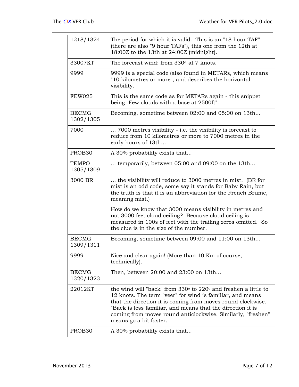| 1218/1324                 | The period for which it is valid. This is an "18 hour TAF"<br>(there are also "9 hour TAFs"), this one from the 12th at<br>18:00Z to the 13th at 24:00Z (midnight).                                                                                                                                                                                                 |
|---------------------------|---------------------------------------------------------------------------------------------------------------------------------------------------------------------------------------------------------------------------------------------------------------------------------------------------------------------------------------------------------------------|
| 33007KT                   | The forecast wind: from 330° at 7 knots.                                                                                                                                                                                                                                                                                                                            |
| 9999                      | 9999 is a special code (also found in METARs, which means<br>"10 kilometres or more", and describes the horizontal<br>visibility.                                                                                                                                                                                                                                   |
| <b>FEW025</b>             | This is the same code as for METARs again - this snippet<br>being "Few clouds with a base at 2500ft".                                                                                                                                                                                                                                                               |
| <b>BECMG</b><br>1302/1305 | Becoming, sometime between 02:00 and 05:00 on 13th                                                                                                                                                                                                                                                                                                                  |
| 7000                      | 7000 metres visibility - i.e. the visibility is forecast to<br>reduce from 10 kilometres or more to 7000 metres in the<br>early hours of 13th                                                                                                                                                                                                                       |
| PROB30                    | A 30% probability exists that                                                                                                                                                                                                                                                                                                                                       |
| <b>TEMPO</b><br>1305/1309 | temporarily, between 05:00 and 09:00 on the 13th                                                                                                                                                                                                                                                                                                                    |
| 3000 BR                   | the visibility will reduce to 3000 metres in mist. (BR for<br>mist is an odd code, some say it stands for Baby Rain, but<br>the truth is that it is an abbreviation for the French Brume,<br>meaning mist.)                                                                                                                                                         |
|                           | How do we know that 3000 means visibility in metres and<br>not 3000 feet cloud ceiling? Because cloud ceiling is<br>measured in 100s of feet with the trailing zeros omitted. So<br>the clue is in the size of the number.                                                                                                                                          |
| <b>BECMG</b><br>1309/1311 | Becoming, sometime between 09:00 and 11:00 on 13th                                                                                                                                                                                                                                                                                                                  |
| 9999                      | Nice and clear again! (More than 10 Km of course,<br>technically).                                                                                                                                                                                                                                                                                                  |
| <b>BECMG</b><br>1320/1323 | Then, between 20:00 and 23:00 on 13th                                                                                                                                                                                                                                                                                                                               |
| 22012KT                   | the wind will "back" from $330^{\circ}$ to $220^{\circ}$ and freshen a little to<br>12 knots. The term "veer" for wind is familiar, and means<br>that the direction it is coming from moves round clockwise.<br>"Back is less familiar, and means that the direction it is<br>coming from moves round anticlockwise. Similarly, "freshen"<br>means go a bit faster. |
| PROB <sub>30</sub>        | A 30% probability exists that                                                                                                                                                                                                                                                                                                                                       |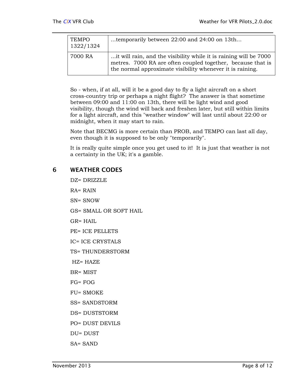<span id="page-9-0"></span>

| TEMPO<br>1322/1324 | temporarily between 22:00 and 24:00 on 13th                                                                                                                                                    |
|--------------------|------------------------------------------------------------------------------------------------------------------------------------------------------------------------------------------------|
| 7000 RA            | it will rain, and the visibility while it is raining will be 7000.<br>metres. 7000 RA are often coupled together, because that is<br>the normal approximate visibility whenever it is raining. |

So - when, if at all, will it be a good day to fly a light aircraft on a short cross-country trip or perhaps a night flight? The answer is that sometime between 09:00 and 11:00 on 13th, there will be light wind and good visibility, though the wind will back and freshen later, but still within limits for a light aircraft, and this "weather window" will last until about 22:00 or midnight, when it may start to rain.

Note that BECMG is more certain than PROB, and TEMPO can last all day, even though it is supposed to be only "temporarily".

It is really quite simple once you get used to it! It is just that weather is not a certainty in the UK; it's a gamble.

#### 6 WEATHER CODES

DZ= DRIZZLE RA= RAIN SN= SNOW GS= SMALL OR SOFT HAIL GR= HAIL PE= ICE PELLETS IC= ICE CRYSTALS TS= THUNDERSTORM HZ= HAZE BR= MIST FG= FOG FU= SMOKE SS= SANDSTORM DS= DUSTSTORM PO= DUST DEVILS DU= DUST SA= SAND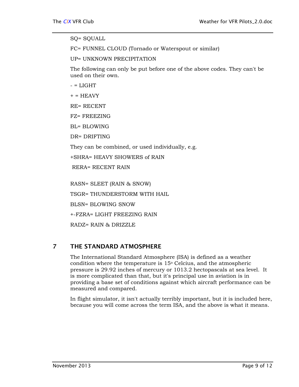#### <span id="page-10-0"></span>SQ= SQUALL

FC= FUNNEL CLOUD (Tornado or Waterspout or similar)

UP= UNKNOWN PRECIPITATION

The following can only be put before one of the above codes. They can't be used on their own.

 $-$  = LIGHT

 $+ = HEAVY$ 

RE= RECENT

FZ= FREEZING

BL= BLOWING

DR= DRIFTING

They can be combined, or used individually, e.g.

+SHRA= HEAVY SHOWERS of RAIN

RERA= RECENT RAIN

RASN= SLEET (RAIN & SNOW) TSGR= THUNDERSTORM WITH HAIL BLSN= BLOWING SNOW +-FZRA= LIGHT FREEZING RAIN RADZ= RAIN & DRIZZLE

#### 7 THE STANDARD ATMOSPHERE

The International Standard Atmosphere (ISA) is defined as a weather condition where the temperature is  $15^{\circ}$  Celcius, and the atmospheric pressure is 29.92 inches of mercury or 1013.2 hectopascals at sea level. It is more complicated than that, but it's principal use in aviation is in providing a base set of conditions against which aircraft performance can be measured and compared.

In flight simulator, it isn't actually terribly important, but it is included here, because you will come across the term ISA, and the above is what it means.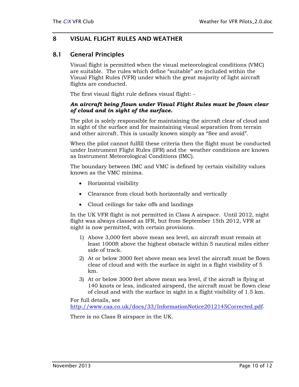#### <span id="page-11-0"></span>8 VISUAL FLIGHT RULES AND WEATHER

#### 8.1 General Principles

Visual flight is permitted when the visual meteorological conditions (VMC) are suitable. The rules which define "suitable" are included within the Visual Flight Rules (VFR) under which the great majority of light aircraft flights are conducted.

The first visual flight rule defines visual flight: -

#### *An aircraft being flown under Visual Flight Rules must be flown clear of cloud and in sight of the surface.*

The pilot is solely responsible for maintaining the aircraft clear of cloud and in sight of the surface and for maintaining visual separation from terrain and other aircraft. This is usually known simply as "See and avoid".

When the pilot cannot fulfill these criteria then the flight must be conducted under Instrument Flight Rules (IFR) and the weather conditions are known as Instrument Meteorological Conditions (IMC).

The boundary between IMC and VMC is defined by certain visibility values known as the VMC minima.

- Horizontal visibility
- Clearance from cloud both horizontally and vertically
- Cloud ceilings for take offs and landings

In the UK VFR flight is not permitted in Class A airspace. Until 2012, night flight was always classed as IFR, but from September 15th 2012, VFR at night is now permitted, with certain provisions.

- 1) Above 3,000 feet above mean sea level, an aircraft must remain at least 1000ft above the highest obstacle within 5 nautical miles either side of track.
- 2) At or below 3000 feet above mean sea level the aircraft must be flown clear of cloud and with the surface in sight in a flight visibility of 5 km.
- 3) At or below 3000 feet above mean sea level, if the aicraft is flying at 140 knots or less, indicated airspeed, the aircraft must be flown clear of cloud and with the surface in sight in a flight visibility of 1.5 km.

For full details, see <http://www.caa.co.uk/docs/33/InformationNotice2012145Corrected.pdf>.

There is no Class B airspace in the UK.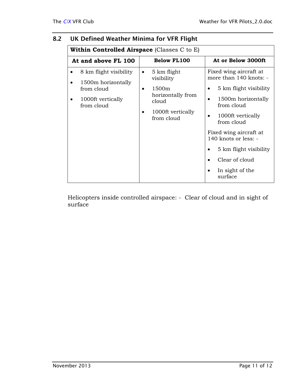| <b>Within Controlled Airspace</b> (Classes $C$ to $E$ )                                       |                                                                                                                            |                                                                                                                                                                                                                                                                               |  |
|-----------------------------------------------------------------------------------------------|----------------------------------------------------------------------------------------------------------------------------|-------------------------------------------------------------------------------------------------------------------------------------------------------------------------------------------------------------------------------------------------------------------------------|--|
| At and above FL 100                                                                           | <b>Below FL100</b>                                                                                                         | At or Below 3000ft                                                                                                                                                                                                                                                            |  |
| 8 km flight visibility<br>1500m horizontally<br>from cloud<br>1000ft vertically<br>from cloud | 5 km flight<br>٠<br>visibility<br>1500m<br>٠<br>horizontally from<br>cloud<br>1000ft vertically<br>$\bullet$<br>from cloud | Fixed wing aircraft at<br>more than 140 knots: -<br>5 km flight visibility<br>1500m horizontally<br>from cloud<br>1000ft vertically<br>from cloud<br>Fixed wing aircraft at<br>140 knots or less: -<br>5 km flight visibility<br>Clear of cloud<br>In sight of the<br>surface |  |

#### <span id="page-12-0"></span>8.2 UK Defined Weather Minima for VFR Flight

Helicopters inside controlled airspace: - Clear of cloud and in sight of surface